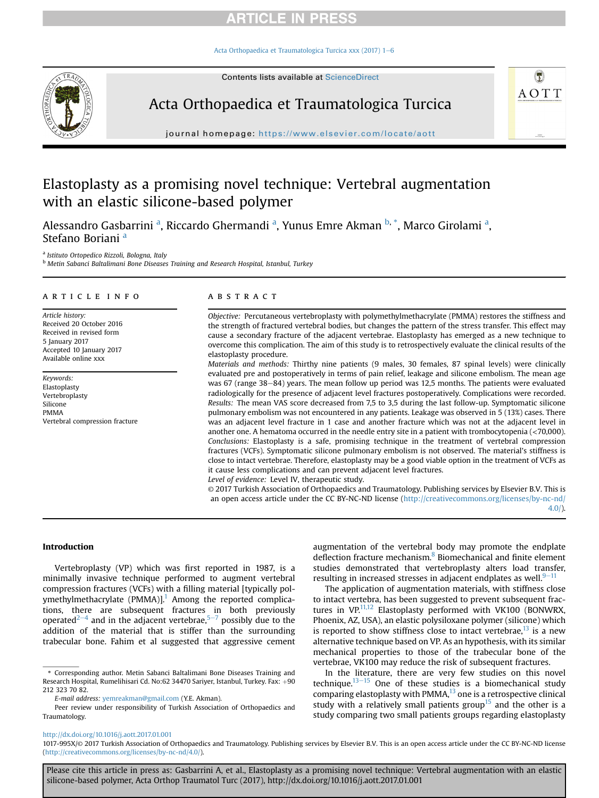[Acta Orthopaedica et Traumatologica Turcica xxx \(2017\) 1](http://dx.doi.org/10.1016/j.aott.2017.01.001)-[6](http://dx.doi.org/10.1016/j.aott.2017.01.001)

Contents lists available at ScienceDirect



Acta Orthopaedica et Traumatologica Turcica



journal homepage: [https://www.elsevier.com/locate/aott](http://www.elsevier.com/locate/aott)

# Elastoplasty as a promising novel technique: Vertebral augmentation with an elastic silicone-based polymer

Alessandro Gasbarrini <sup>a</sup>, Riccardo Ghermandi <sup>a</sup>, Yunus Emre Akman <sup>b, \*</sup>, Marco Girolami <sup>a</sup>, Stefano Boriani<sup>a</sup>

a Istituto Ortopedico Rizzoli, Bologna, Italy

**b Metin Sabanci Baltalimani Bone Diseases Training and Research Hospital, Istanbul, Turkey** 

### article info

Article history: Received 20 October 2016 Received in revised form 5 January 2017 Accepted 10 January 2017 Available online xxx

Keywords: Elastoplasty Vertebroplasty Silicone PMMA Vertebral compression fracture

### **ABSTRACT**

Objective: Percutaneous vertebroplasty with polymethylmethacrylate (PMMA) restores the stiffness and the strength of fractured vertebral bodies, but changes the pattern of the stress transfer. This effect may cause a secondary fracture of the adjacent vertebrae. Elastoplasty has emerged as a new technique to overcome this complication. The aim of this study is to retrospectively evaluate the clinical results of the elastoplasty procedure.

Materials and methods: Thirthy nine patients (9 males, 30 females, 87 spinal levels) were clinically evaluated pre and postoperatively in terms of pain relief, leakage and silicone embolism. The mean age was 67 (range 38–84) years. The mean follow up period was 12,5 months. The patients were evaluated radiologically for the presence of adjacent level fractures postoperatively. Complications were recorded. Results: The mean VAS score decreased from 7,5 to 3,5 during the last follow-up. Symptomatic silicone pulmonary embolism was not encountered in any patients. Leakage was observed in 5 (13%) cases. There was an adjacent level fracture in 1 case and another fracture which was not at the adjacent level in another one. A hematoma occurred in the needle entry site in a patient with trombocytopenia (<70,000). Conclusions: Elastoplasty is a safe, promising technique in the treatment of vertebral compression fractures (VCFs). Symptomatic silicone pulmonary embolism is not observed. The material's stiffness is close to intact vertebrae. Therefore, elastoplasty may be a good viable option in the treatment of VCFs as it cause less complications and can prevent adjacent level fractures. Level of evidence: Level IV, therapeutic study.

© 2017 Turkish Association of Orthopaedics and Traumatology. Publishing services by Elsevier B.V. This is an open access article under the CC BY-NC-ND license [\(http://creativecommons.org/licenses/by-nc-nd/](http://creativecommons.org/licenses/by-nc-nd/4.0/) [4.0/](http://creativecommons.org/licenses/by-nc-nd/4.0/)).

#### Introduction

Vertebroplasty (VP) which was first reported in 1987, is a minimally invasive technique performed to augment vertebral compression fractures (VCFs) with a filling material [typically polymethylmethacrylate (PMMA)]. $1$  Among the reported complications, there are subsequent fractures in both previously operated<sup>2-[4](#page-4-0)</sup> and in the adjacent vertebrae,<sup>[5](#page-4-0)-[7](#page-4-0)</sup> possibly due to the addition of the material that is stiffer than the surrounding trabecular bone. Fahim et al suggested that aggressive cement

augmentation of the vertebral body may promote the endplate deflection fracture mechanism.<sup>8</sup> Biomechanical and finite element studies demonstrated that vertebroplasty alters load transfer, resulting in increased stresses in adjacent endplates as well. $9-11$  $9-11$  $9-11$ 

The application of augmentation materials, with stiffness close to intact vertebra, has been suggested to prevent subsequent fractures in  $VP<sub>11,12</sub>$  Elastoplasty performed with VK100 (BONWRX, Phoenix, AZ, USA), an elastic polysiloxane polymer (silicone) which is reported to show stiffness close to intact vertebrae, $^{13}$  is a new alternative technique based on VP. As an hypothesis, with its similar mechanical properties to those of the trabecular bone of the vertebrae, VK100 may reduce the risk of subsequent fractures.

In the literature, there are very few studies on this novel technique. $13-15$  $13-15$  $13-15$  One of these studies is a biomechanical study comparing elastoplasty with PMMA $<sup>13</sup>$  one is a retrospective clinical</sup> study with a relatively small patients group<sup>15</sup> and the other is a study comparing two small patients groups regarding elastoplasty

<http://dx.doi.org/10.1016/j.aott.2017.01.001>

<sup>\*</sup> Corresponding author. Metin Sabanci Baltalimani Bone Diseases Training and Research Hospital, Rumelihisari Cd. No:62 34470 Sariyer, Istanbul, Turkey. Fax: +90 212 323 70 82.

E-mail address: [yemreakman@gmail.com](mailto:yemreakman@gmail.com) (Y.E. Akman).

Peer review under responsibility of Turkish Association of Orthopaedics and Traumatology.

<sup>1017-995</sup>X/© 2017 Turkish Association of Orthopaedics and Traumatology. Publishing services by Elsevier B.V. This is an open access article under the CC BY-NC-ND license (<http://creativecommons.org/licenses/by-nc-nd/4.0/>).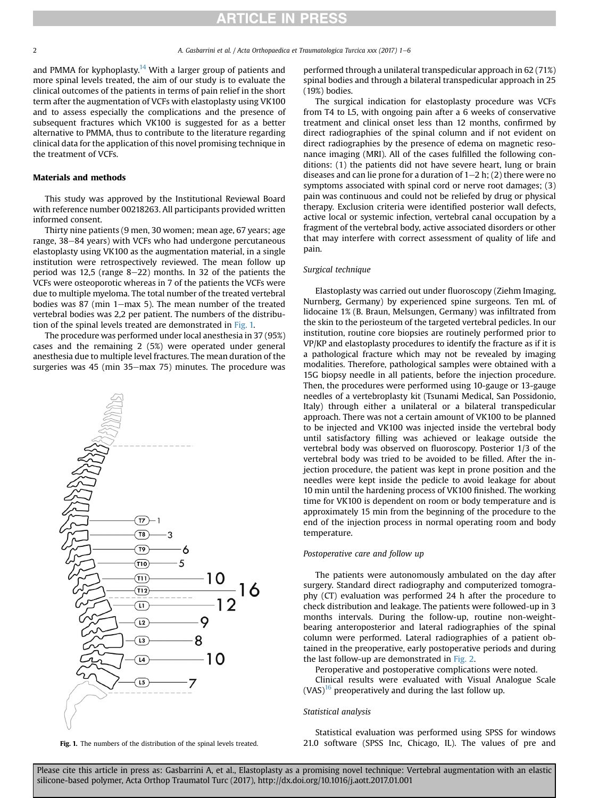and PMMA for kyphoplasty.<sup>[14](#page-4-0)</sup> With a larger group of patients and more spinal levels treated, the aim of our study is to evaluate the clinical outcomes of the patients in terms of pain relief in the short term after the augmentation of VCFs with elastoplasty using VK100 and to assess especially the complications and the presence of subsequent fractures which VK100 is suggested for as a better alternative to PMMA, thus to contribute to the literature regarding clinical data for the application of this novel promising technique in the treatment of VCFs.

#### Materials and methods

This study was approved by the Institutional Reviewal Board with reference number 00218263. All participants provided written informed consent.

Thirty nine patients (9 men, 30 women; mean age, 67 years; age range, 38–84 years) with VCFs who had undergone percutaneous elastoplasty using VK100 as the augmentation material, in a single institution were retrospectively reviewed. The mean follow up period was 12,5 (range  $8-22$ ) months. In 32 of the patients the VCFs were osteoporotic whereas in 7 of the patients the VCFs were due to multiple myeloma. The total number of the treated vertebral bodies was 87 (min  $1$ -max 5). The mean number of the treated vertebral bodies was 2,2 per patient. The numbers of the distribution of the spinal levels treated are demonstrated in Fig. 1.

The procedure was performed under local anesthesia in 37 (95%) cases and the remaining 2 (5%) were operated under general anesthesia due to multiple level fractures. The mean duration of the surgeries was 45 (min  $35$ –max 75) minutes. The procedure was



performed through a unilateral transpedicular approach in 62 (71%) spinal bodies and through a bilateral transpedicular approach in 25 (19%) bodies.

The surgical indication for elastoplasty procedure was VCFs from T4 to L5, with ongoing pain after a 6 weeks of conservative treatment and clinical onset less than 12 months, confirmed by direct radiographies of the spinal column and if not evident on direct radiographies by the presence of edema on magnetic resonance imaging (MRI). All of the cases fulfilled the following conditions: (1) the patients did not have severe heart, lung or brain diseases and can lie prone for a duration of  $1-2$  h; (2) there were no symptoms associated with spinal cord or nerve root damages; (3) pain was continuous and could not be reliefed by drug or physical therapy. Exclusion criteria were identified posterior wall defects, active local or systemic infection, vertebral canal occupation by a fragment of the vertebral body, active associated disorders or other that may interfere with correct assessment of quality of life and pain.

### Surgical technique

Elastoplasty was carried out under fluoroscopy (Ziehm Imaging, Nurnberg, Germany) by experienced spine surgeons. Ten mL of lidocaine 1% (B. Braun, Melsungen, Germany) was infiltrated from the skin to the periosteum of the targeted vertebral pedicles. In our institution, routine core biopsies are routinely performed prior to VP/KP and elastoplasty procedures to identify the fracture as if it is a pathological fracture which may not be revealed by imaging modalities. Therefore, pathological samples were obtained with a 15G biopsy needle in all patients, before the injection procedure. Then, the procedures were performed using 10-gauge or 13-gauge needles of a vertebroplasty kit (Tsunami Medical, San Possidonio, Italy) through either a unilateral or a bilateral transpedicular approach. There was not a certain amount of VK100 to be planned to be injected and VK100 was injected inside the vertebral body until satisfactory filling was achieved or leakage outside the vertebral body was observed on fluoroscopy. Posterior 1/3 of the vertebral body was tried to be avoided to be filled. After the injection procedure, the patient was kept in prone position and the needles were kept inside the pedicle to avoid leakage for about 10 min until the hardening process of VK100 finished. The working time for VK100 is dependent on room or body temperature and is approximately 15 min from the beginning of the procedure to the end of the injection process in normal operating room and body temperature.

## Postoperative care and follow up

The patients were autonomously ambulated on the day after surgery. Standard direct radiography and computerized tomography (CT) evaluation was performed 24 h after the procedure to check distribution and leakage. The patients were followed-up in 3 months intervals. During the follow-up, routine non-weightbearing anteroposterior and lateral radiographies of the spinal column were performed. Lateral radiographies of a patient obtained in the preoperative, early postoperative periods and during the last follow-up are demonstrated in [Fig. 2](#page-2-0).

Peroperative and postoperative complications were noted.

Clinical results were evaluated with Visual Analogue Scale  $(VAS)^{16}$  preoperatively and during the last follow up.

### Statistical analysis

Statistical evaluation was performed using SPSS for windows Fig. 1. The numbers of the distribution of the spinal levels treated. 21.0 software (SPSS Inc, Chicago, IL). The values of pre and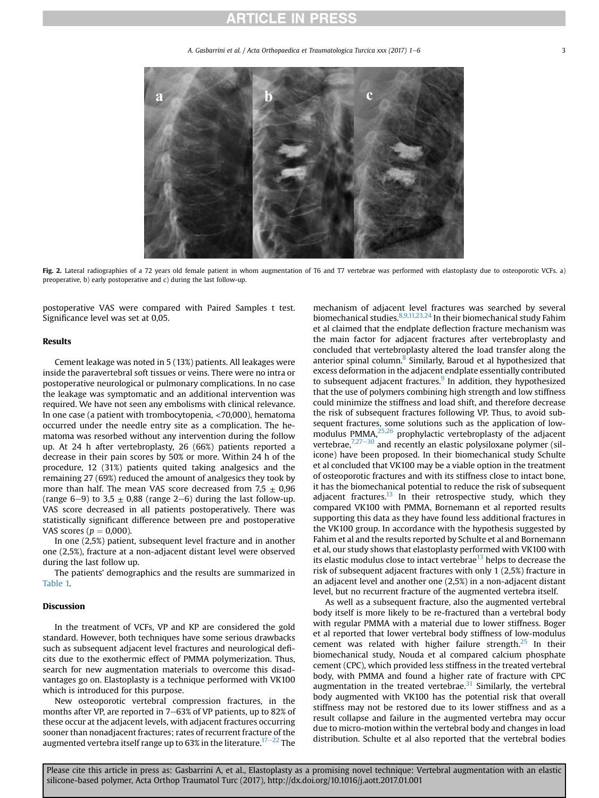A. Gasbarrini et al. / Acta Orthopaedica et Traumatologica Turcica xxx (2017) 1–6 3

<span id="page-2-0"></span>

Fig. 2. Lateral radiographies of a 72 years old female patient in whom augmentation of T6 and T7 vertebrae was performed with elastoplasty due to osteoporotic VCFs. a) preoperative, b) early postoperative and c) during the last follow-up.

postoperative VAS were compared with Paired Samples t test. Significance level was set at 0,05.

#### Results

Cement leakage was noted in 5 (13%) patients. All leakages were inside the paravertebral soft tissues or veins. There were no intra or postoperative neurological or pulmonary complications. In no case the leakage was symptomatic and an additional intervention was required. We have not seen any embolisms with clinical relevance. In one case (a patient with trombocytopenia, <70,000), hematoma occurred under the needle entry site as a complication. The hematoma was resorbed without any intervention during the follow up. At 24 h after vertebroplasty, 26 (66%) patients reported a decrease in their pain scores by 50% or more. Within 24 h of the procedure, 12 (31%) patients quited taking analgesics and the remaining 27 (69%) reduced the amount of analgesics they took by more than half. The mean VAS score decreased from  $7.5 \pm 0.96$ (range 6–9) to 3,5  $\pm$  0,88 (range 2–6) during the last follow-up. VAS score decreased in all patients postoperatively. There was statistically significant difference between pre and postoperative VAS scores ( $p = 0,000$ ).

In one (2,5%) patient, subsequent level fracture and in another one (2,5%), fracture at a non-adjacent distant level were observed during the last follow up.

The patients' demographics and the results are summarized in [Table 1.](#page-3-0)

### Discussion

In the treatment of VCFs, VP and KP are considered the gold standard. However, both techniques have some serious drawbacks such as subsequent adjacent level fractures and neurological deficits due to the exothermic effect of PMMA polymerization. Thus, search for new augmentation materials to overcome this disadvantages go on. Elastoplasty is a technique performed with VK100 which is introduced for this purpose.

New osteoporotic vertebral compression fractures, in the months after VP, are reported in 7-63% of VP patients, up to 82% of these occur at the adjacent levels, with adjacent fractures occurring sooner than nonadjacent fractures; rates of recurrent fracture of the augmented vertebra itself range up to 63% in the literature.<sup>17-[22](#page-4-0)</sup> The

mechanism of adjacent level fractures was searched by several biomechanical studies.[8,9,11,23,24](#page-4-0) In their biomechanical study Fahim et al claimed that the endplate deflection fracture mechanism was the main factor for adjacent fractures after vertebroplasty and concluded that vertebroplasty altered the load transfer along the anterior spinal column.<sup>8</sup> Similarly, Baroud et al hypothesized that excess deformation in the adjacent endplate essentially contributed to subsequent adjacent fractures. $9$  In addition, they hypothesized that the use of polymers combining high strength and low stiffness could minimize the stiffness and load shift, and therefore decrease the risk of subsequent fractures following VP. Thus, to avoid subsequent fractures, some solutions such as the application of low-modulus PMMA,<sup>[25,26](#page-4-0)</sup> prophylactic vertebroplasty of the adjacent vertebrae, $7,27-30$  $7,27-30$  and recently an elastic polysiloxane polymer (silicone) have been proposed. In their biomechanical study Schulte et al concluded that VK100 may be a viable option in the treatment of osteoporotic fractures and with its stiffness close to intact bone, it has the biomechanical potential to reduce the risk of subsequent adjacent fractures. $^{13}$  In their retrospective study, which they compared VK100 with PMMA, Bornemann et al reported results supporting this data as they have found less additional fractures in the VK100 group. In accordance with the hypothesis suggested by Fahim et al and the results reported by Schulte et al and Bornemann et al, our study shows that elastoplasty performed with VK100 with its elastic modulus close to intact vertebrae $^{13}$  $^{13}$  $^{13}$  helps to decrease the risk of subsequent adjacent fractures with only 1 (2,5%) fracture in an adjacent level and another one (2,5%) in a non-adjacent distant level, but no recurrent fracture of the augmented vertebra itself.

As well as a subsequent fracture, also the augmented vertebral body itself is more likely to be re-fractured than a vertebral body with regular PMMA with a material due to lower stiffness. Boger et al reported that lower vertebral body stiffness of low-modulus cement was related with higher failure strength. $25$  In their biomechanical study, Nouda et al compared calcium phosphate cement (CPC), which provided less stiffness in the treated vertebral body, with PMMA and found a higher rate of fracture with CPC augmentation in the treated vertebrae. $31$  Similarly, the vertebral body augmented with VK100 has the potential risk that overall stiffness may not be restored due to its lower stiffness and as a result collapse and failure in the augmented vertebra may occur due to micro-motion within the vertebral body and changes in load distribution. Schulte et al also reported that the vertebral bodies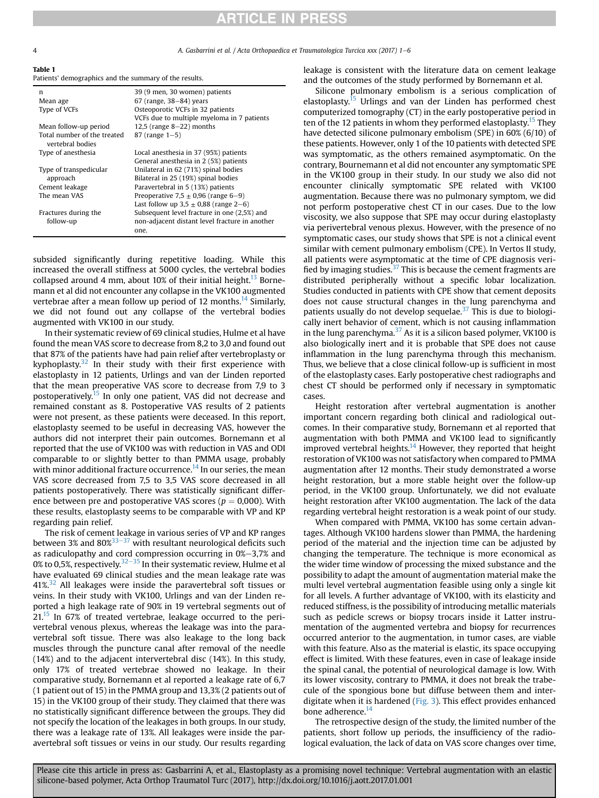4. Gasbarrini et al. / Acta Orthopaedica et Traumatologica Turcica xxx (2017) 1–6

| Table 1 |                                                        |  |  |
|---------|--------------------------------------------------------|--|--|
|         | Patients' demographics and the summary of the results. |  |  |

| n                                               | 39 (9 men, 30 women) patients                  |
|-------------------------------------------------|------------------------------------------------|
| Mean age                                        | $67$ (range, $38-84$ ) years                   |
| Type of VCFs                                    | Osteoporotic VCFs in 32 patients               |
|                                                 | VCFs due to multiple myeloma in 7 patients     |
| Mean follow-up period                           | 12,5 (range $8-22$ ) months                    |
| Total number of the treated<br>vertebral bodies | $87$ (range $1 - 5$ )                          |
| Type of anesthesia                              | Local anesthesia in 37 (95%) patients          |
|                                                 | General anesthesia in 2 (5%) patients          |
| Type of transpedicular                          | Unilateral in 62 (71%) spinal bodies           |
| approach                                        | Bilateral in 25 (19%) spinal bodies            |
| Cement leakage                                  | Paravertebral in 5 (13%) patients              |
| The mean VAS                                    | Preoperative 7.5 $\pm$ 0.96 (range 6–9)        |
|                                                 | Last follow up $3.5 \pm 0.88$ (range 2–6)      |
| Fractures during the                            | Subsequent level fracture in one (2,5%) and    |
| follow-up                                       | non-adjacent distant level fracture in another |
|                                                 | one.                                           |

subsided significantly during repetitive loading. While this increased the overall stiffness at 5000 cycles, the vertebral bodies collapsed around 4 mm, about 10% of their initial height.<sup>13</sup> Bornemann et al did not encounter any collapse in the VK100 augmented vertebrae after a mean follow up period of 12 months.<sup>14</sup> Similarly, we did not found out any collapse of the vertebral bodies augmented with VK100 in our study.

In their systematic review of 69 clinical studies, Hulme et al have found the mean VAS score to decrease from 8,2 to 3,0 and found out that 87% of the patients have had pain relief after vertebroplasty or kyphoplasty. $32$  In their study with their first experience with elastoplasty in 12 patients, Urlings and van der Linden reported that the mean preoperative VAS score to decrease from 7,9 to 3 postoperatively.<sup>[15](#page-4-0)</sup> In only one patient, VAS did not decrease and remained constant as 8. Postoperative VAS results of 2 patients were not present, as these patients were deceased. In this report, elastoplasty seemed to be useful in decreasing VAS, however the authors did not interpret their pain outcomes. Bornemann et al reported that the use of VK100 was with reduction in VAS and ODI comparable to or slightly better to than PMMA usage, probably with minor additional fracture occurrence.<sup>14</sup> In our series, the mean VAS score decreased from 7,5 to 3,5 VAS score decreased in all patients postoperatively. There was statistically significant difference between pre and postoperative VAS scores ( $p = 0,000$ ). With these results, elastoplasty seems to be comparable with VP and KP regarding pain relief.

The risk of cement leakage in various series of VP and KP ranges between 3% and  $80\%^{33-37}$  $80\%^{33-37}$  $80\%^{33-37}$  with resultant neurological deficits such as radiculopathy and cord compression occurring in  $0\%-3,7\%$  and 0% to 0,5%, respectively.<sup>[32](#page-4-0)–[35](#page-4-0)</sup> In their systematic review, Hulme et al have evaluated 69 clinical studies and the mean leakage rate was  $41\%$ <sup>[32](#page-4-0)</sup> All leakages were inside the paravertebral soft tissues or veins. In their study with VK100, Urlings and van der Linden reported a high leakage rate of 90% in 19 vertebral segments out of  $21<sup>15</sup>$  In 67% of treated vertebrae, leakage occurred to the perivertebral venous plexus, whereas the leakage was into the paravertebral soft tissue. There was also leakage to the long back muscles through the puncture canal after removal of the needle (14%) and to the adjacent intervertebral disc (14%). In this study, only 17% of treated vertebrae showed no leakage. In their comparative study, Bornemann et al reported a leakage rate of 6,7 (1 patient out of 15) in the PMMA group and 13,3% (2 patients out of 15) in the VK100 group of their study. They claimed that there was no statistically significant difference between the groups. They did not specify the location of the leakages in both groups. In our study, there was a leakage rate of 13%. All leakages were inside the paravertebral soft tissues or veins in our study. Our results regarding leakage is consistent with the literature data on cement leakage and the outcomes of the study performed by Bornemann et al.

Silicone pulmonary embolism is a serious complication of elastoplasty.<sup>15</sup> Urlings and van der Linden has performed chest computerized tomography (CT) in the early postoperative period in ten of the 12 patients in whom they performed elastoplasty.<sup>15</sup> They have detected silicone pulmonary embolism (SPE) in 60% (6/10) of these patients. However, only 1 of the 10 patients with detected SPE was symptomatic, as the others remained asymptomatic. On the contrary, Bournemann et al did not encounter any symptomatic SPE in the VK100 group in their study. In our study we also did not encounter clinically symptomatic SPE related with VK100 augmentation. Because there was no pulmonary symptom, we did not perform postoperative chest CT in our cases. Due to the low viscosity, we also suppose that SPE may occur during elastoplasty via perivertebral venous plexus. However, with the presence of no symptomatic cases, our study shows that SPE is not a clinical event similar with cement pulmonary embolism (CPE). In Vertos II study, all patients were asymptomatic at the time of CPE diagnosis verified by imaging studies. $37$  This is because the cement fragments are distributed peripherally without a specific lobar localization. Studies conducted in patients with CPE show that cement deposits does not cause structural changes in the lung parenchyma and patients usually do not develop sequelae. $37$  This is due to biologically inert behavior of cement, which is not causing inflammation in the lung parenchyma. $37$  As it is a silicon based polymer, VK100 is also biologically inert and it is probable that SPE does not cause inflammation in the lung parenchyma through this mechanism. Thus, we believe that a close clinical follow-up is sufficient in most of the elastoplasty cases. Early postoperative chest radiographs and chest CT should be performed only if necessary in symptomatic cases.

Height restoration after vertebral augmentation is another important concern regarding both clinical and radiological outcomes. In their comparative study, Bornemann et al reported that augmentation with both PMMA and VK100 lead to significantly improved vertebral heights.<sup>[14](#page-4-0)</sup> However, they reported that height restoration of VK100 was not satisfactory when compared to PMMA augmentation after 12 months. Their study demonstrated a worse height restoration, but a more stable height over the follow-up period, in the VK100 group. Unfortunately, we did not evaluate height restoration after VK100 augmentation. The lack of the data regarding vertebral height restoration is a weak point of our study.

When compared with PMMA, VK100 has some certain advantages. Although VK100 hardens slower than PMMA, the hardening period of the material and the injection time can be adjusted by changing the temperature. The technique is more economical as the wider time window of processing the mixed substance and the possibility to adapt the amount of augmentation material make the multi level vertebral augmentation feasible using only a single kit for all levels. A further advantage of VK100, with its elasticity and reduced stiffness, is the possibility of introducing metallic materials such as pedicle screws or biopsy trocars inside it Latter instrumentation of the augmented vertebra and biopsy for recurrences occurred anterior to the augmentation, in tumor cases, are viable with this feature. Also as the material is elastic, its space occupying effect is limited. With these features, even in case of leakage inside the spinal canal, the potential of neurological damage is low. With its lower viscosity, contrary to PMMA, it does not break the trabecule of the spongious bone but diffuse between them and interdigitate when it is hardened [\(Fig. 3](#page-4-0)). This effect provides enhanced bone adherence.<sup>14</sup>

The retrospective design of the study, the limited number of the patients, short follow up periods, the insufficiency of the radiological evaluation, the lack of data on VAS score changes over time,

<span id="page-3-0"></span>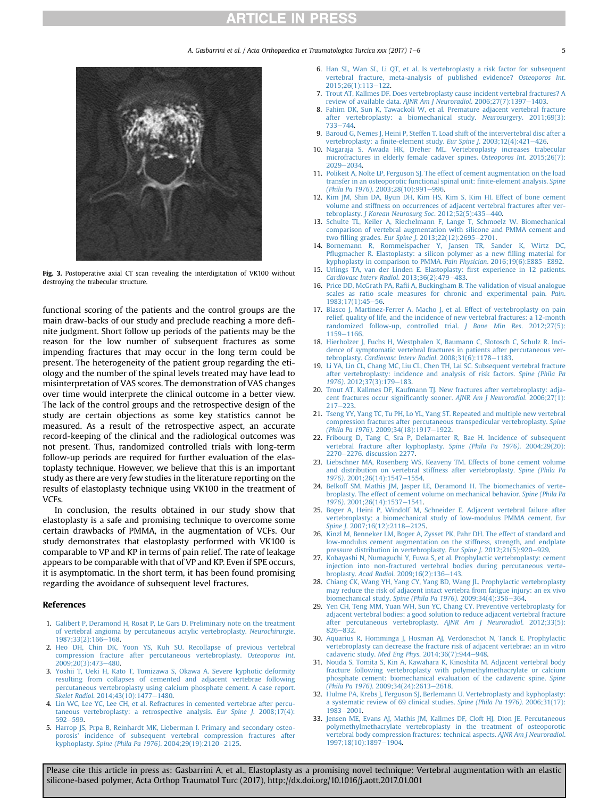A. Gasbarrini et al. / Acta Orthopaedica et Traumatologica Turcica xxx (2017) 1–6 5

<span id="page-4-0"></span>

Fig. 3. Postoperative axial CT scan revealing the interdigitation of VK100 without destroying the trabecular structure.

functional scoring of the patients and the control groups are the main draw-backs of our study and preclude reaching a more definite judgment. Short follow up periods of the patients may be the reason for the low number of subsequent fractures as some impending fractures that may occur in the long term could be present. The heterogeneity of the patient group regarding the etiology and the number of the spinal levels treated may have lead to misinterpretation of VAS scores. The demonstration of VAS changes over time would interprete the clinical outcome in a better view. The lack of the control groups and the retrospective design of the study are certain objections as some key statistics cannot be measured. As a result of the retrospective aspect, an accurate record-keeping of the clinical and the radiological outcomes was not present. Thus, randomized controlled trials with long-term follow-up periods are required for further evaluation of the elastoplasty technique. However, we believe that this is an important study as there are very few studies in the literature reporting on the results of elastoplasty technique using VK100 in the treatment of VCFs.

In conclusion, the results obtained in our study show that elastoplasty is a safe and promising technique to overcome some certain drawbacks of PMMA, in the augmentation of VCFs. Our study demonstrates that elastoplasty performed with VK100 is comparable to VP and KP in terms of pain relief. The rate of leakage appears to be comparable with that of VP and KP. Even if SPE occurs, it is asymptomatic. In the short term, it has been found promising regarding the avoidance of subsequent level fractures.

#### References

- 1. [Galibert P, Deramond H, Rosat P, Le Gars D. Preliminary note on the treatment](http://refhub.elsevier.com/S1017-995X(16)30224-3/sref1) [of vertebral angioma by percutaneous acrylic vertebroplasty.](http://refhub.elsevier.com/S1017-995X(16)30224-3/sref1) Neurochirurgie. 1987:33(2):166-[168.](http://refhub.elsevier.com/S1017-995X(16)30224-3/sref1)
- 2. [Heo DH, Chin DK, Yoon YS, Kuh SU. Recollapse of previous vertebral](http://refhub.elsevier.com/S1017-995X(16)30224-3/sref2) [compression fracture after percutaneous vertebroplasty.](http://refhub.elsevier.com/S1017-995X(16)30224-3/sref2) Osteoporos Int. 2009:20(3):473-[480.](http://refhub.elsevier.com/S1017-995X(16)30224-3/sref2)
- 3. [Yoshii T, Ueki H, Kato T, Tomizawa S, Okawa A. Severe kyphotic deformity](http://refhub.elsevier.com/S1017-995X(16)30224-3/sref3) [resulting from collapses of cemented and adjacent vertebrae following](http://refhub.elsevier.com/S1017-995X(16)30224-3/sref3) [percutaneous vertebroplasty using calcium phosphate cement. A case report.](http://refhub.elsevier.com/S1017-995X(16)30224-3/sref3) Skelet Radiol. 2014:43(10):1477-[1480.](http://refhub.elsevier.com/S1017-995X(16)30224-3/sref3)
- 4. [Lin WC, Lee YC, Lee CH, et al. Refractures in cemented vertebrae after percu](http://refhub.elsevier.com/S1017-995X(16)30224-3/sref4)[taneous vertebroplasty: a retrospective analysis.](http://refhub.elsevier.com/S1017-995X(16)30224-3/sref4) Eur Spine J. 2008;17(4): [592](http://refhub.elsevier.com/S1017-995X(16)30224-3/sref4)-599
- 5. [Harrop JS, Prpa B, Reinhardt MK, Lieberman I. Primary and secondary osteo](http://refhub.elsevier.com/S1017-995X(16)30224-3/sref5)[porosis' incidence of subsequent vertebral compression fractures after](http://refhub.elsevier.com/S1017-995X(16)30224-3/sref5) kyphoplasty. [Spine \(Phila Pa 1976\)](http://refhub.elsevier.com/S1017-995X(16)30224-3/sref5). 2004;29(19):2120-[2125](http://refhub.elsevier.com/S1017-995X(16)30224-3/sref5).
- 6. [Han SL, Wan SL, Li QT, et al. Is vertebroplasty a risk factor for subsequent](http://refhub.elsevier.com/S1017-995X(16)30224-3/sref6) [vertebral fracture, meta-analysis of published evidence?](http://refhub.elsevier.com/S1017-995X(16)30224-3/sref6) Osteoporos Int. [2015;26\(1\):113](http://refhub.elsevier.com/S1017-995X(16)30224-3/sref6)e[122.](http://refhub.elsevier.com/S1017-995X(16)30224-3/sref6)
- 7. [Trout AT, Kallmes DF. Does vertebroplasty cause incident vertebral fractures? A](http://refhub.elsevier.com/S1017-995X(16)30224-3/sref7) [review of available data.](http://refhub.elsevier.com/S1017-995X(16)30224-3/sref7) AINR Am I Neuroradiol. 2006:27(7):1397-[1403.](http://refhub.elsevier.com/S1017-995X(16)30224-3/sref7)
- 8. [Fahim DK, Sun K, Tawackoli W, et al. Premature adjacent vertebral fracture](http://refhub.elsevier.com/S1017-995X(16)30224-3/sref8) [after vertebroplasty: a biomechanical study.](http://refhub.elsevier.com/S1017-995X(16)30224-3/sref8) Neurosurgery. 2011;69(3): [733](http://refhub.elsevier.com/S1017-995X(16)30224-3/sref8)-744
- 9. [Baroud G, Nemes J, Heini P, Steffen T. Load shift of the intervertebral disc after a](http://refhub.elsevier.com/S1017-995X(16)30224-3/sref9) vertebroplasty: a fi[nite-element study.](http://refhub.elsevier.com/S1017-995X(16)30224-3/sref9) Eur Spine J. 2003;12(4):421-[426.](http://refhub.elsevier.com/S1017-995X(16)30224-3/sref9)
- 10. [Nagaraja S, Awada HK, Dreher ML. Vertebroplasty increases trabecular](http://refhub.elsevier.com/S1017-995X(16)30224-3/sref10) [microfractures in elderly female cadaver spines.](http://refhub.elsevier.com/S1017-995X(16)30224-3/sref10) Osteoporos Int. 2015;26(7): [2029](http://refhub.elsevier.com/S1017-995X(16)30224-3/sref10)-[2034.](http://refhub.elsevier.com/S1017-995X(16)30224-3/sref10)
- 11. [Polikeit A, Nolte LP, Ferguson SJ. The effect of cement augmentation on the load](http://refhub.elsevier.com/S1017-995X(16)30224-3/sref11) [transfer in an osteoporotic functional spinal unit:](http://refhub.elsevier.com/S1017-995X(16)30224-3/sref11) finite-element analysis. Spine (Phila Pa 1976). 2003:28(10):991-[996](http://refhub.elsevier.com/S1017-995X(16)30224-3/sref11).
- 12. [Kim JM, Shin DA, Byun DH, Kim HS, Kim S, Kim HI. Effect of bone cement](http://refhub.elsevier.com/S1017-995X(16)30224-3/sref12) [volume and stiffness on occurrences of adjacent vertebral fractures after ver-](http://refhub.elsevier.com/S1017-995X(16)30224-3/sref12)tebroplasty. [J Korean Neurosurg Soc](http://refhub.elsevier.com/S1017-995X(16)30224-3/sref12). 2012;52(5):435-[440](http://refhub.elsevier.com/S1017-995X(16)30224-3/sref12).
- 13. [Schulte TL, Keiler A, Riechelmann F, Lange T, Schmoelz W. Biomechanical](http://refhub.elsevier.com/S1017-995X(16)30224-3/sref13) [comparison of vertebral augmentation with silicone and PMMA cement and](http://refhub.elsevier.com/S1017-995X(16)30224-3/sref13) two filling grades. Eur Spine J[. 2013;22\(12\):2695](http://refhub.elsevier.com/S1017-995X(16)30224-3/sref13)-[2701.](http://refhub.elsevier.com/S1017-995X(16)30224-3/sref13)
- 14. [Bornemann R, Rommelspacher Y, Jansen TR, Sander K, Wirtz DC,](http://refhub.elsevier.com/S1017-995X(16)30224-3/sref14) Pfl[ugmacher R. Elastoplasty: a silicon polymer as a new](http://refhub.elsevier.com/S1017-995X(16)30224-3/sref14) filling material for [kyphoplasty in comparison to PMMA.](http://refhub.elsevier.com/S1017-995X(16)30224-3/sref14) Pain Physician. 2016;19(6):E885-[E892](http://refhub.elsevier.com/S1017-995X(16)30224-3/sref14).
- 15. [Urlings TA, van der Linden E. Elastoplasty:](http://refhub.elsevier.com/S1017-995X(16)30224-3/sref15) first experience in 12 patients. [Cardiovasc Interv Radiol](http://refhub.elsevier.com/S1017-995X(16)30224-3/sref15). 2013:36(2):479-[483](http://refhub.elsevier.com/S1017-995X(16)30224-3/sref15).
- 16. Price DD, McGrath PA, Rafi[i A, Buckingham B. The validation of visual analogue](http://refhub.elsevier.com/S1017-995X(16)30224-3/sref16) [scales as ratio scale measures for chronic and experimental pain.](http://refhub.elsevier.com/S1017-995X(16)30224-3/sref16) Pain. [1983;17\(1\):45](http://refhub.elsevier.com/S1017-995X(16)30224-3/sref16)-[56.](http://refhub.elsevier.com/S1017-995X(16)30224-3/sref16)
- 17. [Blasco J, Martinez-Ferrer A, Macho J, et al. Effect of vertebroplasty on pain](http://refhub.elsevier.com/S1017-995X(16)30224-3/sref17) [relief, quality of life, and the incidence of new vertebral fractures: a 12-month](http://refhub.elsevier.com/S1017-995X(16)30224-3/sref17) [randomized follow-up, controlled trial.](http://refhub.elsevier.com/S1017-995X(16)30224-3/sref17) J Bone Min Res. 2012;27(5): [1159](http://refhub.elsevier.com/S1017-995X(16)30224-3/sref17)-[1166](http://refhub.elsevier.com/S1017-995X(16)30224-3/sref17)
- 18. [Hierholzer J, Fuchs H, Westphalen K, Baumann C, Slotosch C, Schulz R. Inci](http://refhub.elsevier.com/S1017-995X(16)30224-3/sref18)[dence of symptomatic vertebral fractures in patients after percutaneous ver-](http://refhub.elsevier.com/S1017-995X(16)30224-3/sref18)tebroplasty. [Cardiovasc Interv Radiol](http://refhub.elsevier.com/S1017-995X(16)30224-3/sref18). 2008;31(6):1178-[1183.](http://refhub.elsevier.com/S1017-995X(16)30224-3/sref18)
- 19. [Li YA, Lin CL, Chang MC, Liu CL, Chen TH, Lai SC. Subsequent vertebral fracture](http://refhub.elsevier.com/S1017-995X(16)30224-3/sref19) [after vertebroplasty: incidence and analysis of risk factors.](http://refhub.elsevier.com/S1017-995X(16)30224-3/sref19) Spine (Phila Pa 1976). 2012:37(3):179-[183](http://refhub.elsevier.com/S1017-995X(16)30224-3/sref19).
- 20. [Trout AT, Kallmes DF, Kaufmann TJ. New fractures after vertebroplasty: adja](http://refhub.elsevier.com/S1017-995X(16)30224-3/sref20)[cent fractures occur signi](http://refhub.elsevier.com/S1017-995X(16)30224-3/sref20)ficantly sooner. AJNR Am J Neuroradiol. 2006;27(1):  $217 - 223$  $217 - 223$  $217 - 223$
- 21. [Tseng YY, Yang TC, Tu PH, Lo YL, Yang ST. Repeated and multiple new vertebral](http://refhub.elsevier.com/S1017-995X(16)30224-3/sref21) [compression fractures after percutaneous transpedicular vertebroplasty.](http://refhub.elsevier.com/S1017-995X(16)30224-3/sref21) Spine (Phila Pa 1976)[. 2009;34\(18\):1917](http://refhub.elsevier.com/S1017-995X(16)30224-3/sref21)-[1922.](http://refhub.elsevier.com/S1017-995X(16)30224-3/sref21)
- 22. [Fribourg D, Tang C, Sra P, Delamarter R, Bae H. Incidence of subsequent](http://refhub.elsevier.com/S1017-995X(16)30224-3/sref22) [vertebral fracture after kyphoplasty.](http://refhub.elsevier.com/S1017-995X(16)30224-3/sref22) Spine (Phila Pa 1976). 2004;29(20): [2270](http://refhub.elsevier.com/S1017-995X(16)30224-3/sref22)-[2276. discussion 2277](http://refhub.elsevier.com/S1017-995X(16)30224-3/sref22).
- 23. [Liebschner MA, Rosenberg WS, Keaveny TM. Effects of bone cement volume](http://refhub.elsevier.com/S1017-995X(16)30224-3/sref23) [and distribution on vertebral stiffness after vertebroplasty.](http://refhub.elsevier.com/S1017-995X(16)30224-3/sref23) Spine (Phila Pa 1976). 2001:26(14):1547-[1554.](http://refhub.elsevier.com/S1017-995X(16)30224-3/sref23)
- 24. [Belkoff SM, Mathis JM, Jasper LE, Deramond H. The biomechanics of verte](http://refhub.elsevier.com/S1017-995X(16)30224-3/sref24)[broplasty. The effect of cement volume on mechanical behavior.](http://refhub.elsevier.com/S1017-995X(16)30224-3/sref24) Spine (Phila Pa 1976)[. 2001;26\(14\):1537](http://refhub.elsevier.com/S1017-995X(16)30224-3/sref24)-[1541.](http://refhub.elsevier.com/S1017-995X(16)30224-3/sref24)
- 25. [Boger A, Heini P, Windolf M, Schneider E. Adjacent vertebral failure after](http://refhub.elsevier.com/S1017-995X(16)30224-3/sref25) [vertebroplasty: a biomechanical study of low-modulus PMMA cement.](http://refhub.elsevier.com/S1017-995X(16)30224-3/sref25) Eur Spine J[. 2007;16\(12\):2118](http://refhub.elsevier.com/S1017-995X(16)30224-3/sref25)-[2125](http://refhub.elsevier.com/S1017-995X(16)30224-3/sref25).
- 26. [Kinzl M, Benneker LM, Boger A, Zysset PK, Pahr DH. The effect of standard and](http://refhub.elsevier.com/S1017-995X(16)30224-3/sref26) [low-modulus cement augmentation on the stiffness, strength, and endplate](http://refhub.elsevier.com/S1017-995X(16)30224-3/sref26) [pressure distribution in vertebroplasty.](http://refhub.elsevier.com/S1017-995X(16)30224-3/sref26) Eur Spine J. 2012;21(5):920-[929.](http://refhub.elsevier.com/S1017-995X(16)30224-3/sref26)
- 27. [Kobayashi N, Numaguchi Y, Fuwa S, et al. Prophylactic vertebroplasty: cement](http://refhub.elsevier.com/S1017-995X(16)30224-3/sref27) [injection into non-fractured vertebral bodies during percutaneous verte](http://refhub.elsevier.com/S1017-995X(16)30224-3/sref27)broplasty. Acad Radiol.  $2009;16(2):136-143$ .
- 28. [Chiang CK, Wang YH, Yang CY, Yang BD, Wang JL. Prophylactic vertebroplasty](http://refhub.elsevier.com/S1017-995X(16)30224-3/sref28) [may reduce the risk of adjacent intact vertebra from fatigue injury: an ex vivo](http://refhub.elsevier.com/S1017-995X(16)30224-3/sref28) [biomechanical study.](http://refhub.elsevier.com/S1017-995X(16)30224-3/sref28) Spine (Phila Pa 1976). 2009;34(4):356-[364.](http://refhub.elsevier.com/S1017-995X(16)30224-3/sref28)
- 29. [Yen CH, Teng MM, Yuan WH, Sun YC, Chang CY. Preventive vertebroplasty for](http://refhub.elsevier.com/S1017-995X(16)30224-3/sref29) [adjacent vertebral bodies: a good solution to reduce adjacent vertebral fracture](http://refhub.elsevier.com/S1017-995X(16)30224-3/sref29) [after percutaneous vertebroplasty.](http://refhub.elsevier.com/S1017-995X(16)30224-3/sref29) AJNR Am J Neuroradiol. 2012;33(5): [826](http://refhub.elsevier.com/S1017-995X(16)30224-3/sref29)-[832](http://refhub.elsevier.com/S1017-995X(16)30224-3/sref29).
- 30. [Aquarius R, Homminga J, Hosman AJ, Verdonschot N, Tanck E. Prophylactic](http://refhub.elsevier.com/S1017-995X(16)30224-3/sref30) [vertebroplasty can decrease the fracture risk of adjacent vertebrae: an in vitro](http://refhub.elsevier.com/S1017-995X(16)30224-3/sref30) cadaveric study. Med Eng Phys[. 2014;36\(7\):944](http://refhub.elsevier.com/S1017-995X(16)30224-3/sref30)-[948.](http://refhub.elsevier.com/S1017-995X(16)30224-3/sref30)
- 31. [Nouda S, Tomita S, Kin A, Kawahara K, Kinoshita M. Adjacent vertebral body](http://refhub.elsevier.com/S1017-995X(16)30224-3/sref31) [fracture following vertebroplasty with polymethylmethacrylate or calcium](http://refhub.elsevier.com/S1017-995X(16)30224-3/sref31) [phosphate cement: biomechanical evaluation of the cadaveric spine.](http://refhub.elsevier.com/S1017-995X(16)30224-3/sref31) Spine (Phila Pa 1976)[. 2009;34\(24\):2613](http://refhub.elsevier.com/S1017-995X(16)30224-3/sref31)-[2618.](http://refhub.elsevier.com/S1017-995X(16)30224-3/sref31)
- 32. [Hulme PA, Krebs J, Ferguson SJ, Berlemann U. Vertebroplasty and kyphoplasty:](http://refhub.elsevier.com/S1017-995X(16)30224-3/sref32) [a systematic review of 69 clinical studies.](http://refhub.elsevier.com/S1017-995X(16)30224-3/sref32) Spine (Phila Pa 1976). 2006;31(17): [1983](http://refhub.elsevier.com/S1017-995X(16)30224-3/sref32)-[2001.](http://refhub.elsevier.com/S1017-995X(16)30224-3/sref32)
- 33. [Jensen ME, Evans AJ, Mathis JM, Kallmes DF, Cloft HJ, Dion JE. Percutaneous](http://refhub.elsevier.com/S1017-995X(16)30224-3/sref33) [polymethylmethacrylate vertebroplasty in the treatment of osteoporotic](http://refhub.elsevier.com/S1017-995X(16)30224-3/sref33) [vertebral body compression fractures: technical aspects.](http://refhub.elsevier.com/S1017-995X(16)30224-3/sref33) AJNR Am J Neuroradiol. [1997;18\(10\):1897](http://refhub.elsevier.com/S1017-995X(16)30224-3/sref33)-[1904.](http://refhub.elsevier.com/S1017-995X(16)30224-3/sref33)